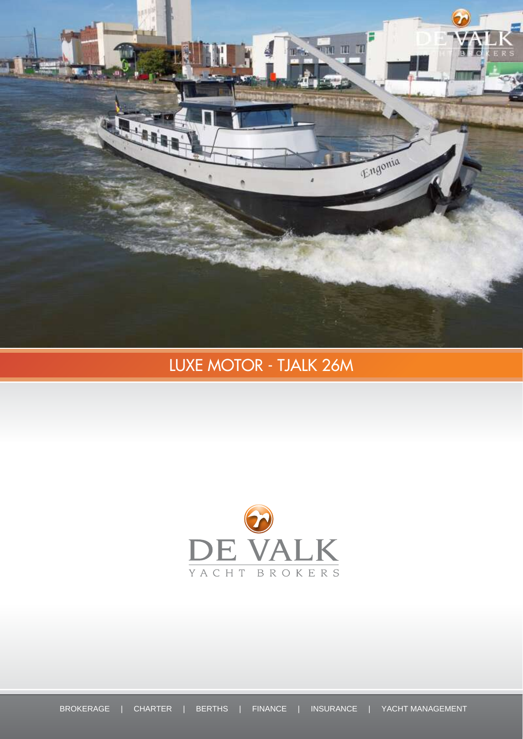

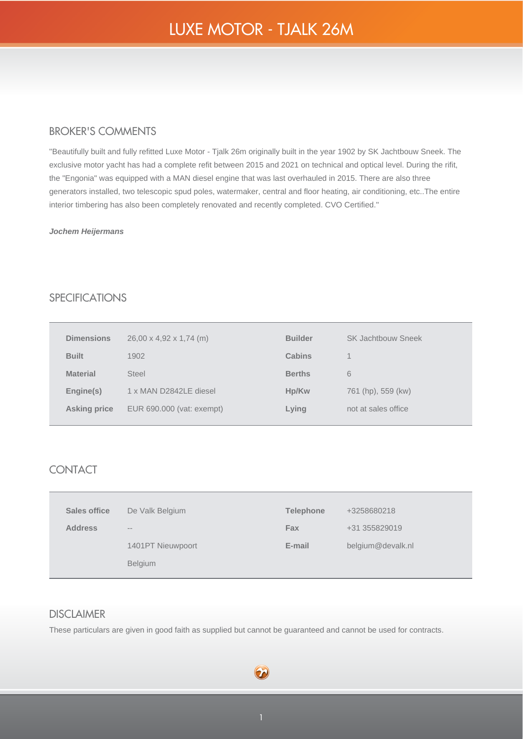#### **BROKER'S COMMENTS**

''Beautifully built and fully refitted Luxe Motor - Tjalk 26m originally built in the year 1902 by SK Jachtbouw Sneek. The exclusive motor yacht has had a complete refit between 2015 and 2021 on technical and optical level. During the rifit, the "Engonia" was equipped with a MAN diesel engine that was last overhauled in 2015. There are also three generators installed, two telescopic spud poles, watermaker, central and floor heating, air conditioning, etc..The entire interior timbering has also been completely renovated and recently completed. CVO Certified.''

#### **Jochem Heijermans**

### **SPECIFICATIONS**

| <b>Dimensions</b>   | $26,00 \times 4,92 \times 1,74$ (m) | <b>Builder</b> | <b>SK Jachtbouw Sneek</b> |
|---------------------|-------------------------------------|----------------|---------------------------|
| <b>Built</b>        | 1902                                | Cabins         | 1                         |
| <b>Material</b>     | <b>Steel</b>                        | <b>Berths</b>  | 6                         |
| Engine(s)           | 1 x MAN D2842LE diesel              | Hp/Kw          | 761 (hp), 559 (kw)        |
| <b>Asking price</b> | EUR 690.000 (vat: exempt)           | Lying          | not at sales office       |
|                     |                                     |                |                           |

### **CONTACT**

| <b>Sales office</b> | De Valk Belgium   | <b>Telephone</b> | +3258680218       |
|---------------------|-------------------|------------------|-------------------|
| <b>Address</b>      | $\frac{1}{2}$     | <b>Fax</b>       | +31 355829019     |
|                     | 1401PT Nieuwpoort | E-mail           | belgium@devalk.nl |
|                     | <b>Belgium</b>    |                  |                   |

### **DISCLAIMER**

These particulars are given in good faith as supplied but cannot be guaranteed and cannot be used for contracts.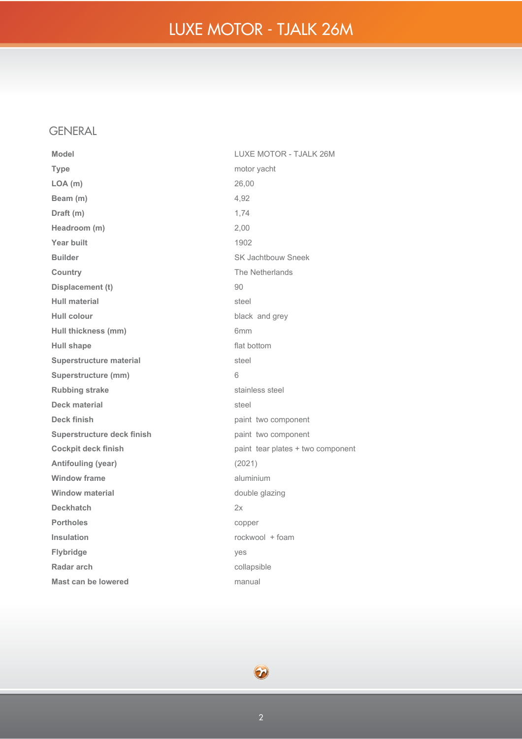### **GENERAL**

**Model LUXE MOTOR - TJALK 26M Type motor yacht LOA (m) 26,00 Beam (m) 4,92 Draft (m) 1,74 Headroom (m) 2,00 Year built 1902 Builder SK Jachtbouw Sneek Country The Netherlands Displacement** (t) 90 **Hull material steel Hull colour black and grey Hull thickness (mm) 6mm Hull shape flat** bottom **Superstructure material steel Superstructure (mm) 6 Rubbing strake stainless steel Deck material** steel **Deck finish paint** two component **Superstructure deck finish paint** two component **Cockpit deck finish paint tear plates + two component Antifouling (year) (2021) Window frame aluminium Window material double** glazing **Deckhatch 2x Portholes copper Insulation rockwool + foam Flybridge yes Radar arch collapsible Mast can be lowered manual**

 $\bm{\omega}$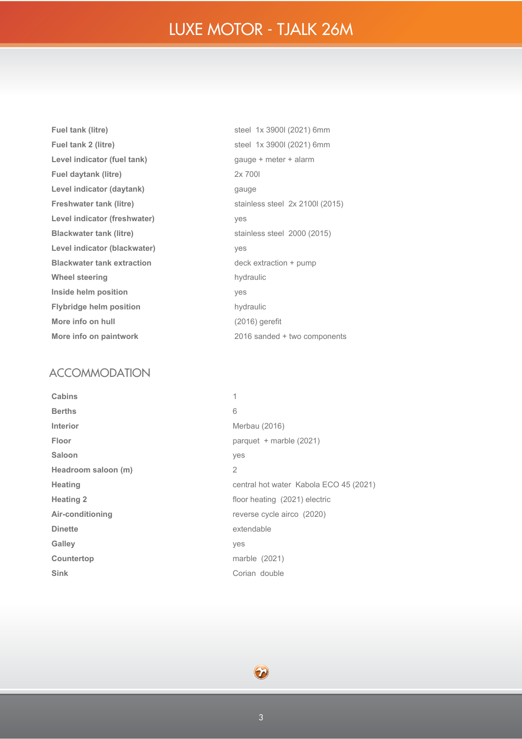**Fuel tank (litre) steel 1x 3900l (2021) 6mm Fuel tank 2 (litre) steel 1x 3900l (2021) 6mm Level indicator (fuel tank) gauge + meter + alarm Fuel daytank (litre) 2x 700l Level indicator (daytank) gauge Freshwater tank (litre) stainless steel 2x 2100l (2015) Level indicator (freshwater) yes Blackwater tank (litre) stainless steel 2000 (2015) Level indicator (blackwater) yes Blackwater tank extraction deck extraction +**  $pump$ **Wheel steering hydraulic Inside helm position yes Flybridge helm position hydraulic More info on hull (2016) gerefit More info on paintwork 2016 sanded + two components**

### **ACCOMMODATION**

**Cabins 1 Berths 6 Interior Merbau** (2016) **Floor parquet + marble (2021) Saloon yes Headroom saloon (m) 2 Heating central hot water Kabola ECO 45 (2021) Heating 2 floor heating (2021)** electric **Air-conditioning reverse cycle airco (2020) Dinette extendable Galley yes Countertop marble (2021) Sink Corian double**

**3**

 $\bullet$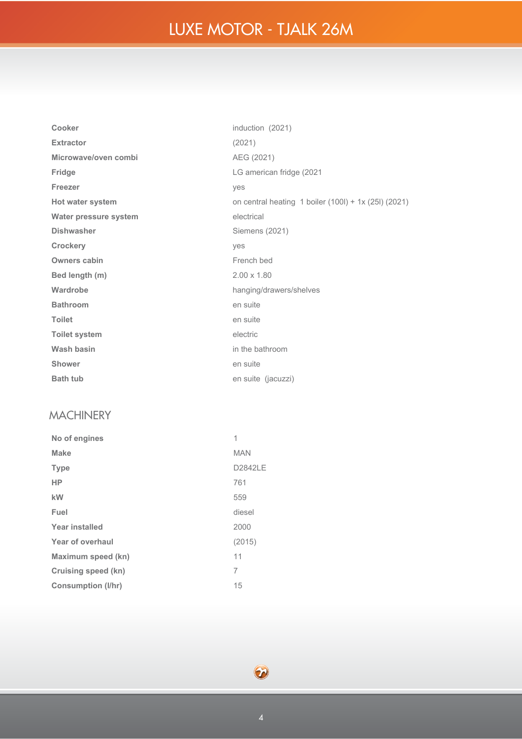| Cooker                | induction (2021)                                       |
|-----------------------|--------------------------------------------------------|
| <b>Extractor</b>      | (2021)                                                 |
| Microwave/oven combi  | AEG (2021)                                             |
| <b>Fridge</b>         | LG american fridge (2021                               |
| Freezer               | ves                                                    |
| Hot water system      | on central heating 1 boiler $(100l) + 1x (25l) (2021)$ |
| Water pressure system | electrical                                             |
| <b>Dishwasher</b>     | Siemens (2021)                                         |
| Crockery              | ves                                                    |
| <b>Owners cabin</b>   | French bed                                             |
| Bed length (m)        | $2.00 \times 1.80$                                     |
| Wardrobe              | hanging/drawers/shelves                                |
| <b>Bathroom</b>       | en suite                                               |
| <b>Toilet</b>         | en suite                                               |
| <b>Toilet system</b>  | electric                                               |
| Wash basin            | in the bathroom                                        |
| <b>Shower</b>         | en suite                                               |
| <b>Bath tub</b>       | en suite (jacuzzi)                                     |

### **MACHINERY**

| No of engines             | 1          |
|---------------------------|------------|
| <b>Make</b>               | <b>MAN</b> |
| <b>Type</b>               | D2842LE    |
| HP                        | 761        |
| kW                        | 559        |
| Fuel                      | diesel     |
| Year installed            | 2000       |
| Year of overhaul          | (2015)     |
| Maximum speed (kn)        | 11         |
| Cruising speed (kn)       | 7          |
| <b>Consumption (I/hr)</b> | 15         |
|                           |            |

 $\bigodot$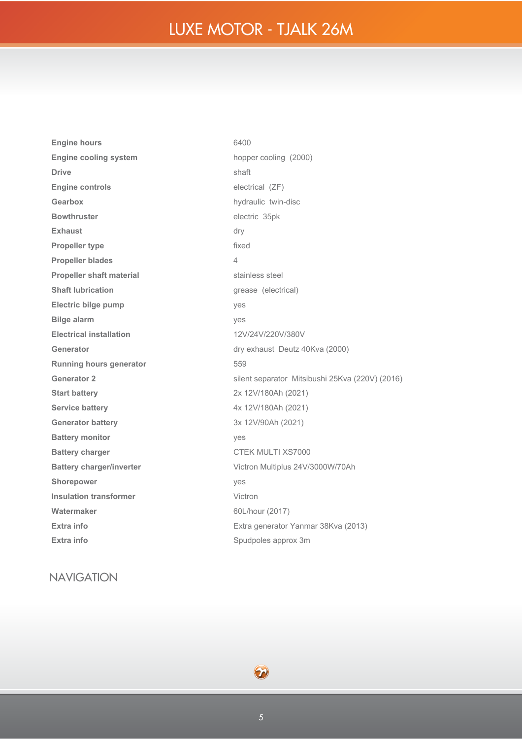**Engine hours 6400 Engine cooling system hopper** cooling (2000) **Drive shaft Engine controls electrical (ZF) Gearbox hydraulic twin-disc Bowthruster electric 35pk Exhaust dry Propeller type fixed Propeller blades 4 Propeller shaft material stainless steel Shaft Iubrication grease** (electrical) **Electric bilge pump yes Bilge alarm yes Electrical installation 12V/24V/220V/380V Generator dry exhaust Deutz 40Kva (2000) Running hours generator 559 Generator 2 silent separator Mitsibushi 25Kva (220V) (2016) Start battery 2x 12V/180Ah (2021) Service battery 4x 12V/180Ah (2021) Generator battery 3x 12V/90Ah (2021) Battery monitor yes Battery charger CTEK MULTI XS7000 Battery charger/inverter Victron Multiplus 24V/3000W/70Ah Shorepower yes Insulation transformer Victron Watermaker 60L/hour (2017) Extra info Extra generator Yanmar 38Kva (2013) Extra info Spudpoles approx 3m**

**NAVIGATION**

 $\left( \boldsymbol{r} \right)$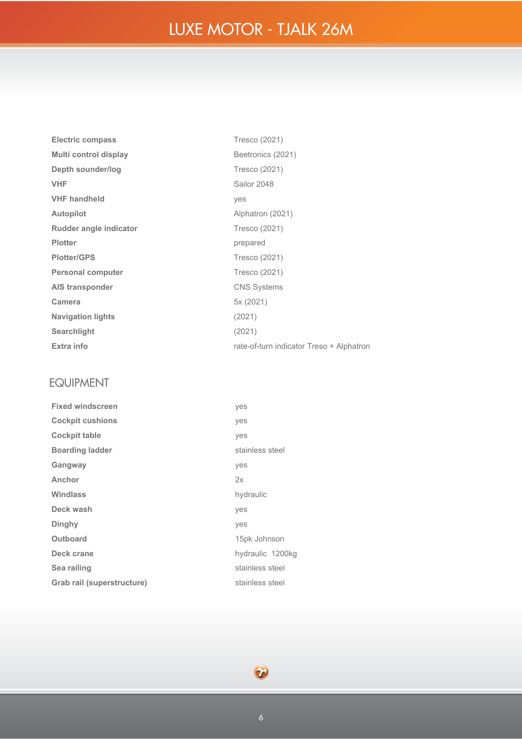| <b>Electric compass</b>  | <b>Tresco (2021)</b>                     |
|--------------------------|------------------------------------------|
| Multi control display    | Beetronics (2021)                        |
| Depth sounder/log        | <b>Tresco (2021)</b>                     |
| <b>VHF</b>               | Sailor 2048                              |
| <b>VHF</b> handheld      | yes                                      |
| <b>Autopilot</b>         | Alphatron (2021)                         |
| Rudder angle indicator   | <b>Tresco (2021)</b>                     |
| <b>Plotter</b>           | prepared                                 |
| <b>Plotter/GPS</b>       | <b>Tresco (2021)</b>                     |
| <b>Personal computer</b> | <b>Tresco (2021)</b>                     |
| <b>AIS transponder</b>   | <b>CNS Systems</b>                       |
| Camera                   | 5x (2021)                                |
| <b>Navigation lights</b> | (2021)                                   |
| Searchlight              | (2021)                                   |
| Extra info               | rate-of-turn indicator Treso + Alphatron |

### **EQUIPMENT**

| <b>Fixed windscreen</b>    | yes              |
|----------------------------|------------------|
| <b>Cockpit cushions</b>    | yes              |
| <b>Cockpit table</b>       | yes              |
| <b>Boarding ladder</b>     | stainless steel  |
| Gangway                    | yes              |
| Anchor                     | 2x               |
| <b>Windlass</b>            | hydraulic        |
| Deck wash                  | yes              |
| <b>Dinghy</b>              | yes              |
| Outboard                   | 15pk Johnson     |
| Deck crane                 | hydraulic 1200kg |
| Sea railing                | stainless steel  |
| Grab rail (superstructure) | stainless steel  |

 $\bigodot$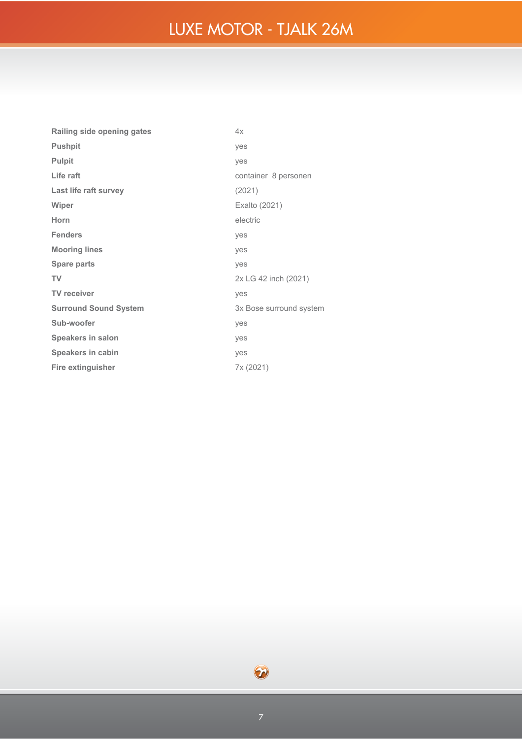| <b>Railing side opening gates</b> | 4x                      |
|-----------------------------------|-------------------------|
| <b>Pushpit</b>                    | yes                     |
| <b>Pulpit</b>                     | yes                     |
| Life raft                         | container 8 personen    |
| Last life raft survey             | (2021)                  |
| Wiper                             | Exalto (2021)           |
| Horn                              | electric                |
| <b>Fenders</b>                    | yes                     |
| <b>Mooring lines</b>              | yes                     |
| <b>Spare parts</b>                | yes                     |
| TV                                | 2x LG 42 inch (2021)    |
| <b>TV receiver</b>                | yes                     |
| <b>Surround Sound System</b>      | 3x Bose surround system |
| Sub-woofer                        | yes                     |
| Speakers in salon                 | yes                     |
| Speakers in cabin                 | yes                     |
| <b>Fire extinguisher</b>          | 7x (2021)               |

 $\bullet$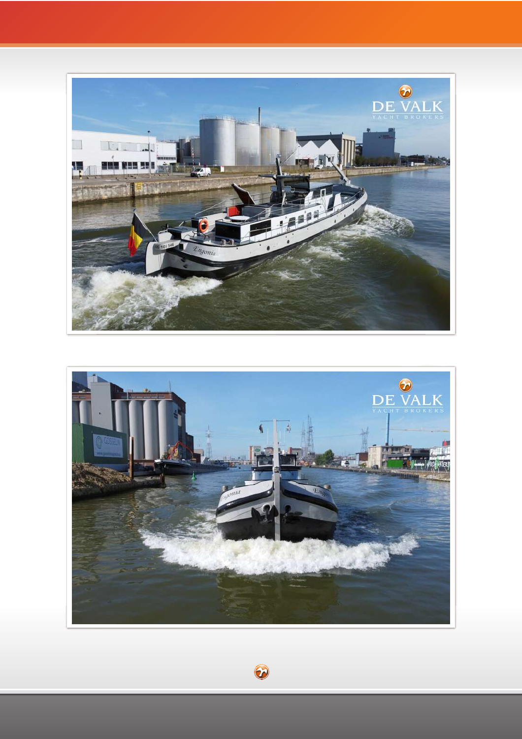$18$ ; (02725 7-\$/. 0



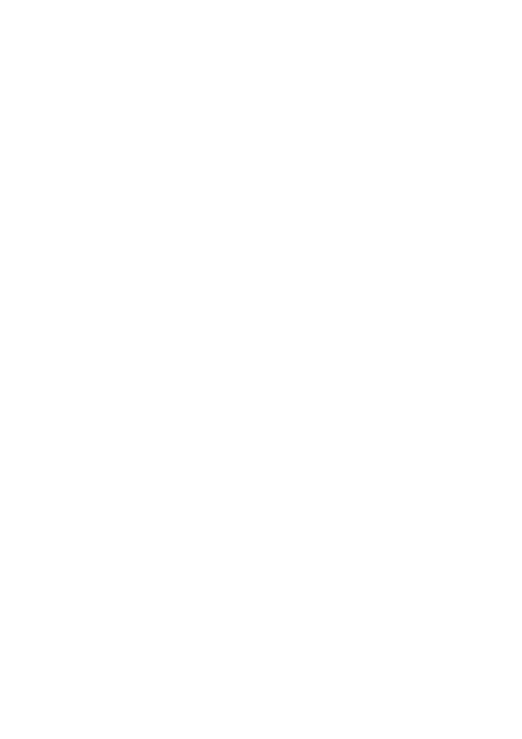| ---- |  |
|------|--|
|      |  |
|      |  |
|      |  |
|      |  |
|      |  |
|      |  |
|      |  |
|      |  |
|      |  |
|      |  |
|      |  |
|      |  |
|      |  |
|      |  |
|      |  |
|      |  |
|      |  |
|      |  |
|      |  |
|      |  |
|      |  |
|      |  |
|      |  |
|      |  |
|      |  |
|      |  |
|      |  |
|      |  |
|      |  |
|      |  |
|      |  |
|      |  |
|      |  |
|      |  |
|      |  |
|      |  |
|      |  |
|      |  |
|      |  |
|      |  |
|      |  |
|      |  |
|      |  |
|      |  |
|      |  |
|      |  |
|      |  |
|      |  |
|      |  |
|      |  |
|      |  |
|      |  |
|      |  |
|      |  |
|      |  |
|      |  |
|      |  |
|      |  |

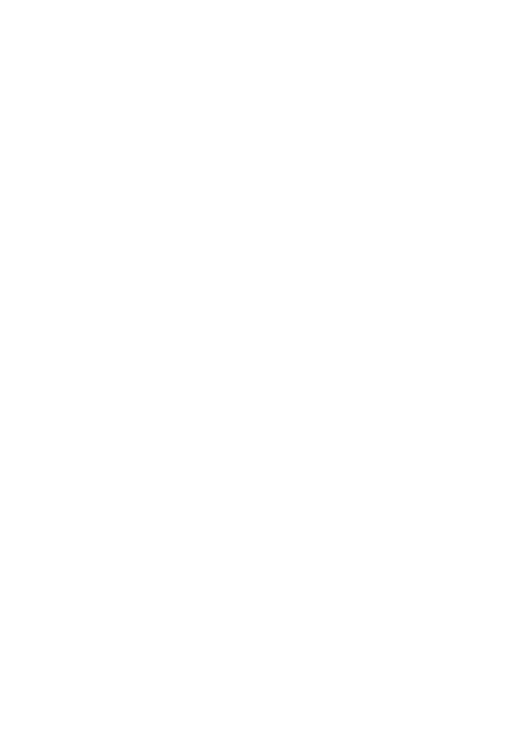| ---- |  |
|------|--|
|      |  |
|      |  |
|      |  |
|      |  |
|      |  |
|      |  |
|      |  |
|      |  |
|      |  |
|      |  |
|      |  |
|      |  |
|      |  |
|      |  |
|      |  |
|      |  |
|      |  |
|      |  |
|      |  |
|      |  |
|      |  |
|      |  |
|      |  |
|      |  |
|      |  |
|      |  |
|      |  |
|      |  |
|      |  |
|      |  |
|      |  |
|      |  |
|      |  |
|      |  |
|      |  |
|      |  |
|      |  |
|      |  |
|      |  |
|      |  |
|      |  |
|      |  |
|      |  |
|      |  |
|      |  |
|      |  |
|      |  |
|      |  |
|      |  |
|      |  |
|      |  |
|      |  |
|      |  |
|      |  |
|      |  |
|      |  |
|      |  |
|      |  |

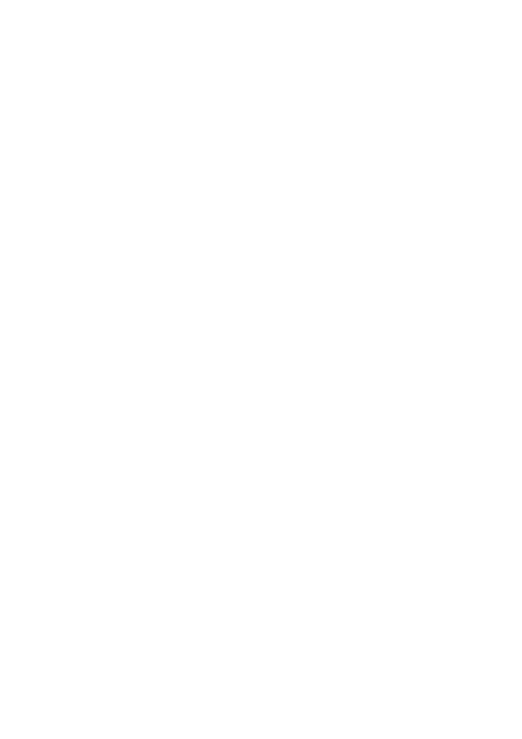| ---- |  |
|------|--|
|      |  |
|      |  |
|      |  |
|      |  |
|      |  |
|      |  |
|      |  |
|      |  |
|      |  |
|      |  |
|      |  |
|      |  |
|      |  |
|      |  |
|      |  |
|      |  |
|      |  |
|      |  |
|      |  |
|      |  |
|      |  |
|      |  |
|      |  |
|      |  |
|      |  |
|      |  |
|      |  |
|      |  |
|      |  |
|      |  |
|      |  |
|      |  |
|      |  |
|      |  |
|      |  |
|      |  |
|      |  |
|      |  |
|      |  |
|      |  |
|      |  |
|      |  |
|      |  |
|      |  |
|      |  |
|      |  |
|      |  |
|      |  |
|      |  |
|      |  |
|      |  |
|      |  |
|      |  |
|      |  |
|      |  |
|      |  |
|      |  |
|      |  |

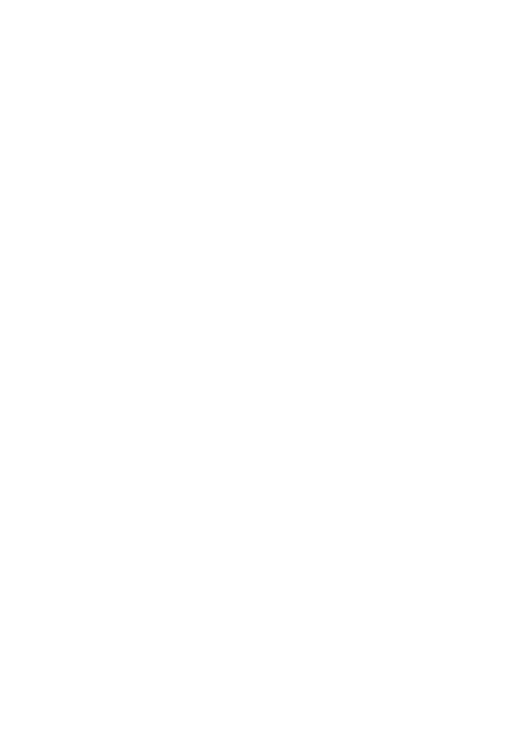| ---- |  |
|------|--|
|      |  |
|      |  |
|      |  |
|      |  |
|      |  |
|      |  |
|      |  |
|      |  |
|      |  |
|      |  |
|      |  |
|      |  |
|      |  |
|      |  |
|      |  |
|      |  |
|      |  |
|      |  |
|      |  |
|      |  |
|      |  |
|      |  |
|      |  |
|      |  |
|      |  |
|      |  |
|      |  |
|      |  |
|      |  |
|      |  |
|      |  |
|      |  |
|      |  |
|      |  |
|      |  |
|      |  |
|      |  |
|      |  |
|      |  |
|      |  |
|      |  |
|      |  |
|      |  |
|      |  |
|      |  |
|      |  |
|      |  |
|      |  |
|      |  |
|      |  |
|      |  |
|      |  |
|      |  |
|      |  |
|      |  |
|      |  |
|      |  |
|      |  |

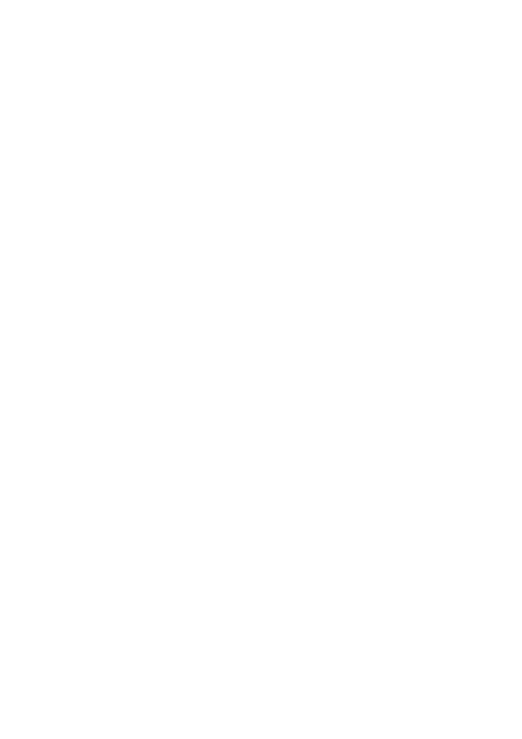| ---- |  |
|------|--|
|      |  |
|      |  |
|      |  |
|      |  |
|      |  |
|      |  |
|      |  |
|      |  |
|      |  |
|      |  |
|      |  |
|      |  |
|      |  |
|      |  |
|      |  |
|      |  |
|      |  |
|      |  |
|      |  |
|      |  |
|      |  |
|      |  |
|      |  |
|      |  |
|      |  |
|      |  |
|      |  |
|      |  |
|      |  |
|      |  |
|      |  |
|      |  |
|      |  |
|      |  |
|      |  |
|      |  |
|      |  |
|      |  |
|      |  |
|      |  |
|      |  |
|      |  |
|      |  |
|      |  |
|      |  |
|      |  |
|      |  |
|      |  |
|      |  |
|      |  |
|      |  |
|      |  |
|      |  |
|      |  |
|      |  |
|      |  |
|      |  |
|      |  |

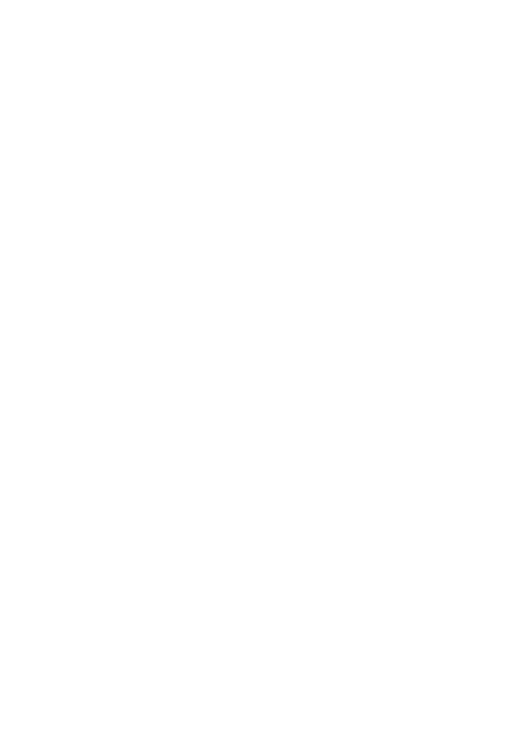| ---- |  |
|------|--|
|      |  |
|      |  |
|      |  |
|      |  |
|      |  |
|      |  |
|      |  |
|      |  |
|      |  |
|      |  |
|      |  |
|      |  |
|      |  |
|      |  |
|      |  |
|      |  |
|      |  |
|      |  |
|      |  |
|      |  |
|      |  |
|      |  |
|      |  |
|      |  |
|      |  |
|      |  |
|      |  |
|      |  |
|      |  |
|      |  |
|      |  |
|      |  |
|      |  |
|      |  |
|      |  |
|      |  |
|      |  |
|      |  |
|      |  |
|      |  |
|      |  |
|      |  |
|      |  |
|      |  |
|      |  |
|      |  |
|      |  |
|      |  |
|      |  |
|      |  |
|      |  |
|      |  |
|      |  |
|      |  |
|      |  |
|      |  |
|      |  |
|      |  |

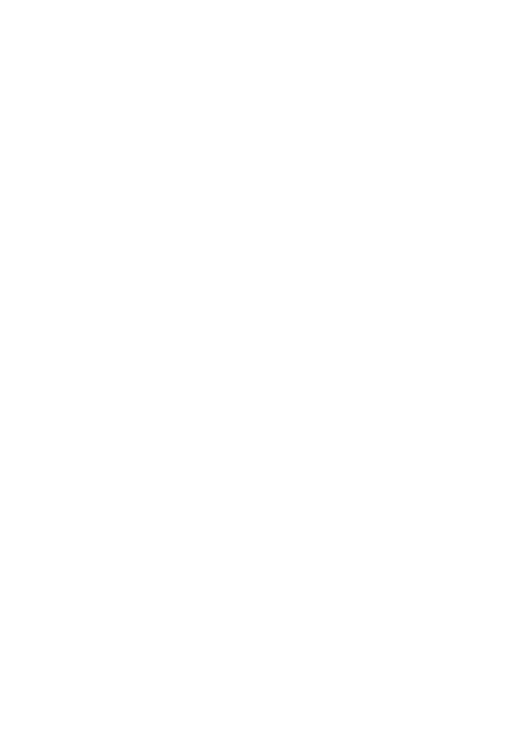| ---- |  |
|------|--|
|      |  |
|      |  |
|      |  |
|      |  |
|      |  |
|      |  |
|      |  |
|      |  |
|      |  |
|      |  |
|      |  |
|      |  |
|      |  |
|      |  |
|      |  |
|      |  |
|      |  |
|      |  |
|      |  |
|      |  |
|      |  |
|      |  |
|      |  |
|      |  |
|      |  |
|      |  |
|      |  |
|      |  |
|      |  |
|      |  |
|      |  |
|      |  |
|      |  |
|      |  |
|      |  |
|      |  |
|      |  |
|      |  |
|      |  |
|      |  |
|      |  |
|      |  |
|      |  |
|      |  |
|      |  |
|      |  |
|      |  |
|      |  |
|      |  |
|      |  |
|      |  |
|      |  |
|      |  |
|      |  |
|      |  |
|      |  |
|      |  |
|      |  |

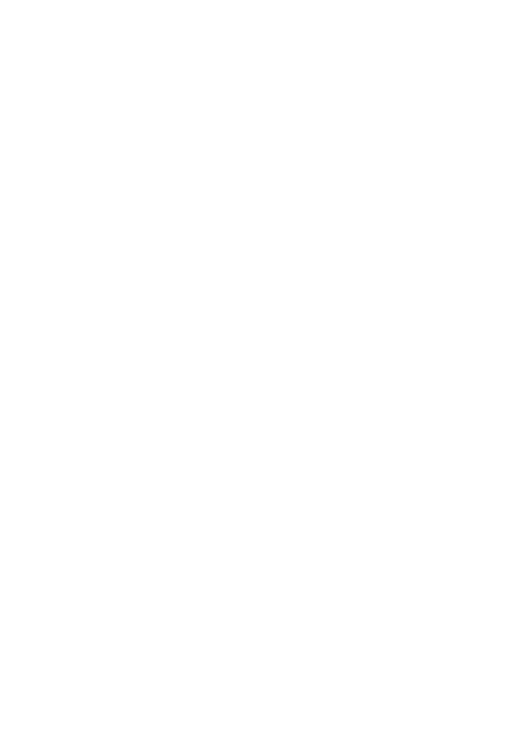| ---- |  |
|------|--|
|      |  |
|      |  |
|      |  |
|      |  |
|      |  |
|      |  |
|      |  |
|      |  |
|      |  |
|      |  |
|      |  |
|      |  |
|      |  |
|      |  |
|      |  |
|      |  |
|      |  |
|      |  |
|      |  |
|      |  |
|      |  |
|      |  |
|      |  |
|      |  |
|      |  |
|      |  |
|      |  |
|      |  |
|      |  |
|      |  |
|      |  |
|      |  |
|      |  |
|      |  |
|      |  |
|      |  |
|      |  |
|      |  |
|      |  |
|      |  |
|      |  |
|      |  |
|      |  |
|      |  |
|      |  |
|      |  |
|      |  |
|      |  |
|      |  |
|      |  |
|      |  |
|      |  |
|      |  |
|      |  |
|      |  |
|      |  |
|      |  |
|      |  |

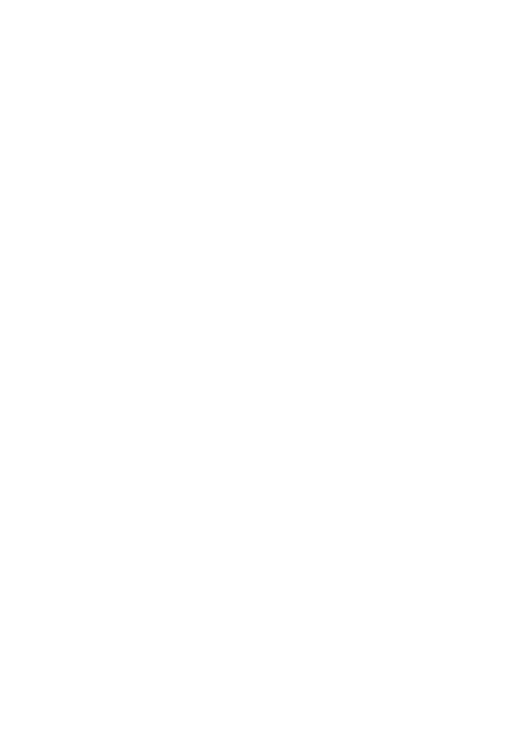| ---- |  |
|------|--|
|      |  |
|      |  |
|      |  |
|      |  |
|      |  |
|      |  |
|      |  |
|      |  |
|      |  |
|      |  |
|      |  |
|      |  |
|      |  |
|      |  |
|      |  |
|      |  |
|      |  |
|      |  |
|      |  |
|      |  |
|      |  |
|      |  |
|      |  |
|      |  |
|      |  |
|      |  |
|      |  |
|      |  |
|      |  |
|      |  |
|      |  |
|      |  |
|      |  |
|      |  |
|      |  |
|      |  |
|      |  |
|      |  |
|      |  |
|      |  |
|      |  |
|      |  |
|      |  |
|      |  |
|      |  |
|      |  |
|      |  |
|      |  |
|      |  |
|      |  |
|      |  |
|      |  |
|      |  |
|      |  |
|      |  |
|      |  |
|      |  |
|      |  |

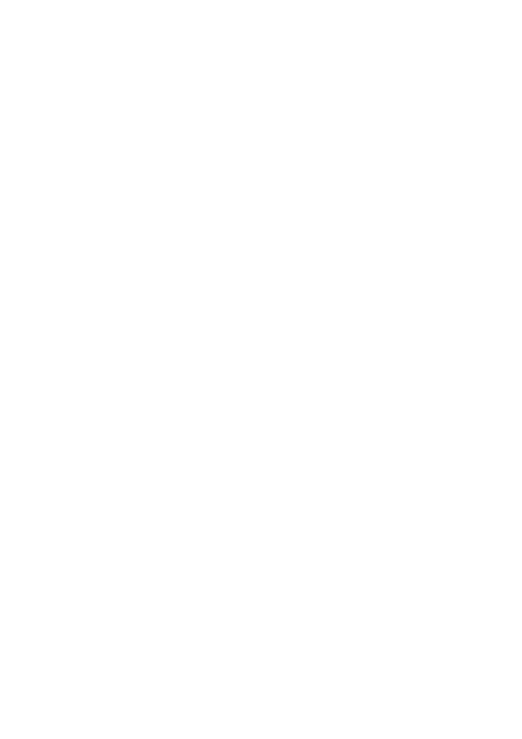| ---- |  |
|------|--|
|      |  |
|      |  |
|      |  |
|      |  |
|      |  |
|      |  |
|      |  |
|      |  |
|      |  |
|      |  |
|      |  |
|      |  |
|      |  |
|      |  |
|      |  |
|      |  |
|      |  |
|      |  |
|      |  |
|      |  |
|      |  |
|      |  |
|      |  |
|      |  |
|      |  |
|      |  |
|      |  |
|      |  |
|      |  |
|      |  |
|      |  |
|      |  |
|      |  |
|      |  |
|      |  |
|      |  |
|      |  |
|      |  |
|      |  |
|      |  |
|      |  |
|      |  |
|      |  |
|      |  |
|      |  |
|      |  |
|      |  |
|      |  |
|      |  |
|      |  |
|      |  |
|      |  |
|      |  |
|      |  |
|      |  |
|      |  |
|      |  |
|      |  |

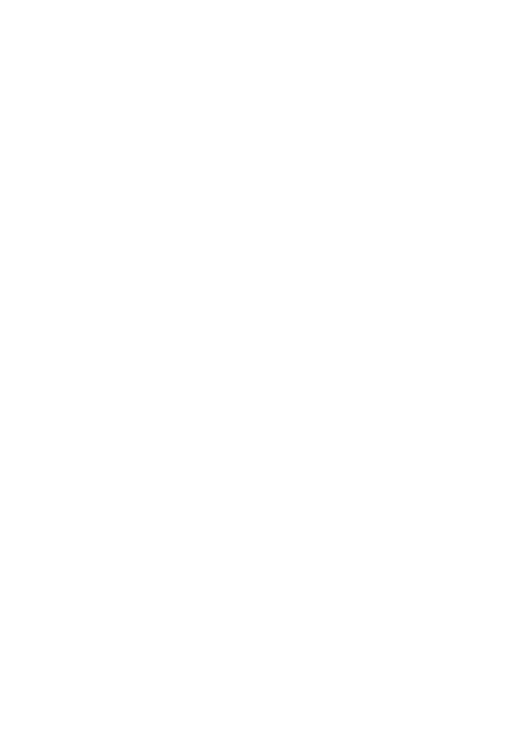| ---- |  |
|------|--|
|      |  |
|      |  |
|      |  |
|      |  |
|      |  |
|      |  |
|      |  |
|      |  |
|      |  |
|      |  |
|      |  |
|      |  |
|      |  |
|      |  |
|      |  |
|      |  |
|      |  |
|      |  |
|      |  |
|      |  |
|      |  |
|      |  |
|      |  |
|      |  |
|      |  |
|      |  |
|      |  |
|      |  |
|      |  |
|      |  |
|      |  |
|      |  |
|      |  |
|      |  |
|      |  |
|      |  |
|      |  |
|      |  |
|      |  |
|      |  |
|      |  |
|      |  |
|      |  |
|      |  |
|      |  |
|      |  |
|      |  |
|      |  |
|      |  |
|      |  |
|      |  |
|      |  |
|      |  |
|      |  |
|      |  |
|      |  |
|      |  |
|      |  |

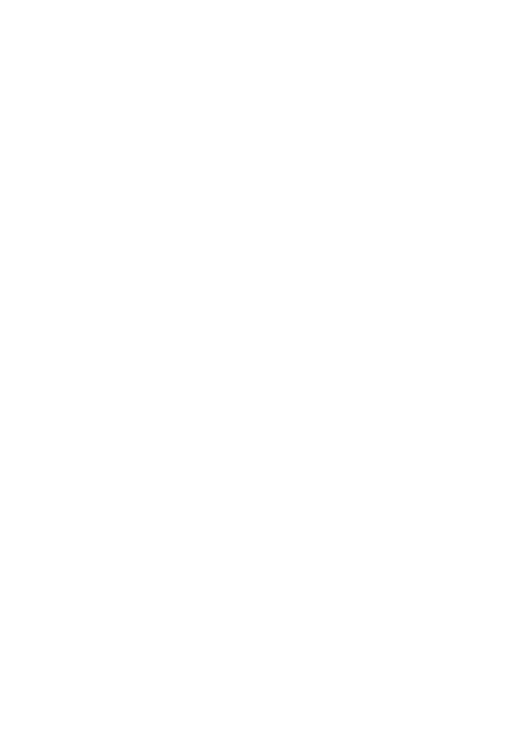| ---- |  |
|------|--|
|      |  |
|      |  |
|      |  |
|      |  |
|      |  |
|      |  |
|      |  |
|      |  |
|      |  |
|      |  |
|      |  |
|      |  |
|      |  |
|      |  |
|      |  |
|      |  |
|      |  |
|      |  |
|      |  |
|      |  |
|      |  |
|      |  |
|      |  |
|      |  |
|      |  |
|      |  |
|      |  |
|      |  |
|      |  |
|      |  |
|      |  |
|      |  |
|      |  |
|      |  |
|      |  |
|      |  |
|      |  |
|      |  |
|      |  |
|      |  |
|      |  |
|      |  |
|      |  |
|      |  |
|      |  |
|      |  |
|      |  |
|      |  |
|      |  |
|      |  |
|      |  |
|      |  |
|      |  |
|      |  |
|      |  |
|      |  |
|      |  |
|      |  |

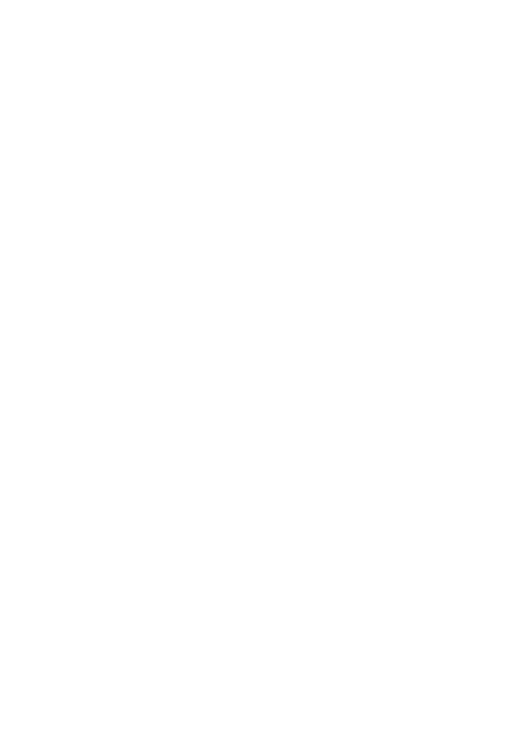| ---- |  |
|------|--|
|      |  |
|      |  |
|      |  |
|      |  |
|      |  |
|      |  |
|      |  |
|      |  |
|      |  |
|      |  |
|      |  |
|      |  |
|      |  |
|      |  |
|      |  |
|      |  |
|      |  |
|      |  |
|      |  |
|      |  |
|      |  |
|      |  |
|      |  |
|      |  |
|      |  |
|      |  |
|      |  |
|      |  |
|      |  |
|      |  |
|      |  |
|      |  |
|      |  |
|      |  |
|      |  |
|      |  |
|      |  |
|      |  |
|      |  |
|      |  |
|      |  |
|      |  |
|      |  |
|      |  |
|      |  |
|      |  |
|      |  |
|      |  |
|      |  |
|      |  |
|      |  |
|      |  |
|      |  |
|      |  |
|      |  |
|      |  |
|      |  |
|      |  |

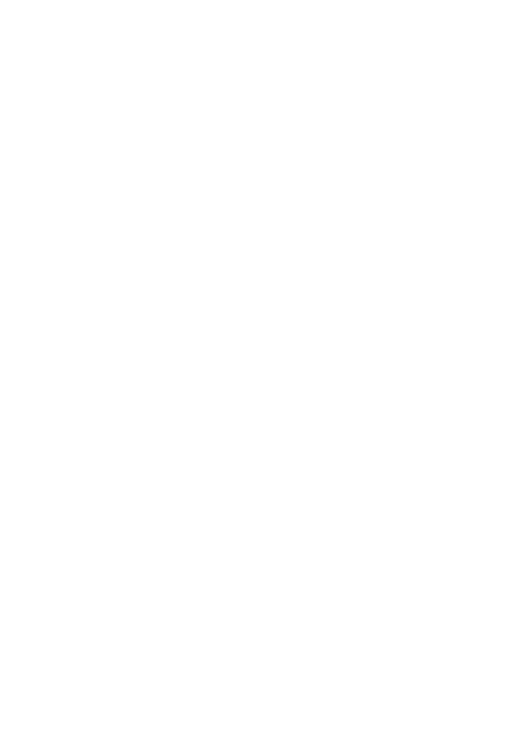| ---- |  |
|------|--|
|      |  |
|      |  |
|      |  |
|      |  |
|      |  |
|      |  |
|      |  |
|      |  |
|      |  |
|      |  |
|      |  |
|      |  |
|      |  |
|      |  |
|      |  |
|      |  |
|      |  |
|      |  |
|      |  |
|      |  |
|      |  |
|      |  |
|      |  |
|      |  |
|      |  |
|      |  |
|      |  |
|      |  |
|      |  |
|      |  |
|      |  |
|      |  |
|      |  |
|      |  |
|      |  |
|      |  |
|      |  |
|      |  |
|      |  |
|      |  |
|      |  |
|      |  |
|      |  |
|      |  |
|      |  |
|      |  |
|      |  |
|      |  |
|      |  |
|      |  |
|      |  |
|      |  |
|      |  |
|      |  |
|      |  |
|      |  |
|      |  |
|      |  |

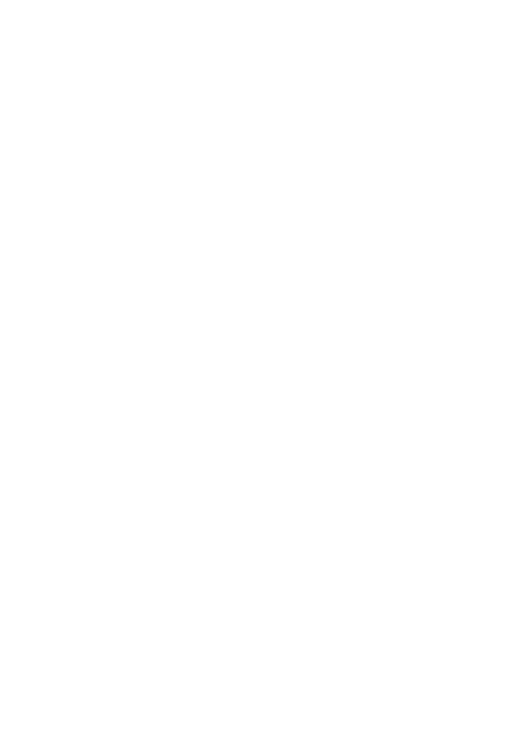| ---- |  |
|------|--|
|      |  |
|      |  |
|      |  |
|      |  |
|      |  |
|      |  |
|      |  |
|      |  |
|      |  |
|      |  |
|      |  |
|      |  |
|      |  |
|      |  |
|      |  |
|      |  |
|      |  |
|      |  |
|      |  |
|      |  |
|      |  |
|      |  |
|      |  |
|      |  |
|      |  |
|      |  |
|      |  |
|      |  |
|      |  |
|      |  |
|      |  |
|      |  |
|      |  |
|      |  |
|      |  |
|      |  |
|      |  |
|      |  |
|      |  |
|      |  |
|      |  |
|      |  |
|      |  |
|      |  |
|      |  |
|      |  |
|      |  |
|      |  |
|      |  |
|      |  |
|      |  |
|      |  |
|      |  |
|      |  |
|      |  |
|      |  |
|      |  |
|      |  |

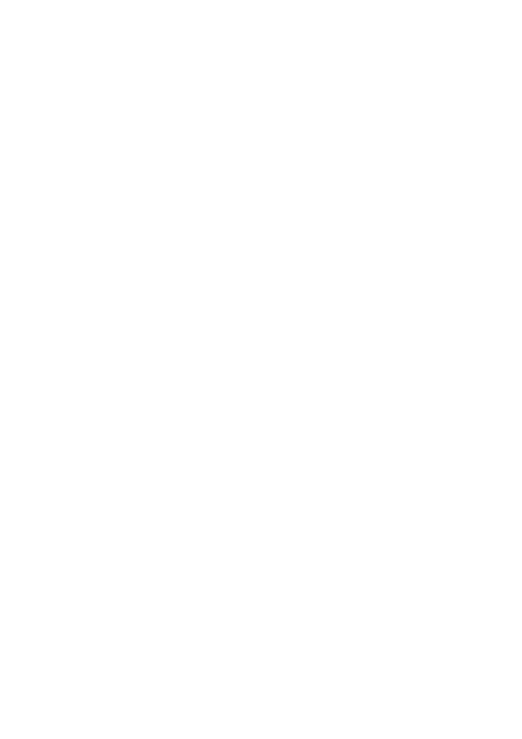| ---- |  |
|------|--|
|      |  |
|      |  |
|      |  |
|      |  |
|      |  |
|      |  |
|      |  |
|      |  |
|      |  |
|      |  |
|      |  |
|      |  |
|      |  |
|      |  |
|      |  |
|      |  |
|      |  |
|      |  |
|      |  |
|      |  |
|      |  |
|      |  |
|      |  |
|      |  |
|      |  |
|      |  |
|      |  |
|      |  |
|      |  |
|      |  |
|      |  |
|      |  |
|      |  |
|      |  |
|      |  |
|      |  |
|      |  |
|      |  |
|      |  |
|      |  |
|      |  |
|      |  |
|      |  |
|      |  |
|      |  |
|      |  |
|      |  |
|      |  |
|      |  |
|      |  |
|      |  |
|      |  |
|      |  |
|      |  |
|      |  |
|      |  |
|      |  |
|      |  |

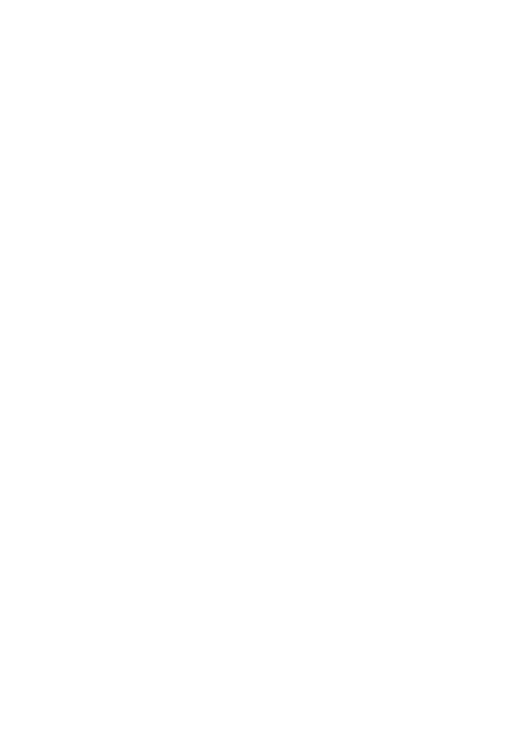| ---- |  |
|------|--|
|      |  |
|      |  |
|      |  |
|      |  |
|      |  |
|      |  |
|      |  |
|      |  |
|      |  |
|      |  |
|      |  |
|      |  |
|      |  |
|      |  |
|      |  |
|      |  |
|      |  |
|      |  |
|      |  |
|      |  |
|      |  |
|      |  |
|      |  |
|      |  |
|      |  |
|      |  |
|      |  |
|      |  |
|      |  |
|      |  |
|      |  |
|      |  |
|      |  |
|      |  |
|      |  |
|      |  |
|      |  |
|      |  |
|      |  |
|      |  |
|      |  |
|      |  |
|      |  |
|      |  |
|      |  |
|      |  |
|      |  |
|      |  |
|      |  |
|      |  |
|      |  |
|      |  |
|      |  |
|      |  |
|      |  |
|      |  |
|      |  |
|      |  |

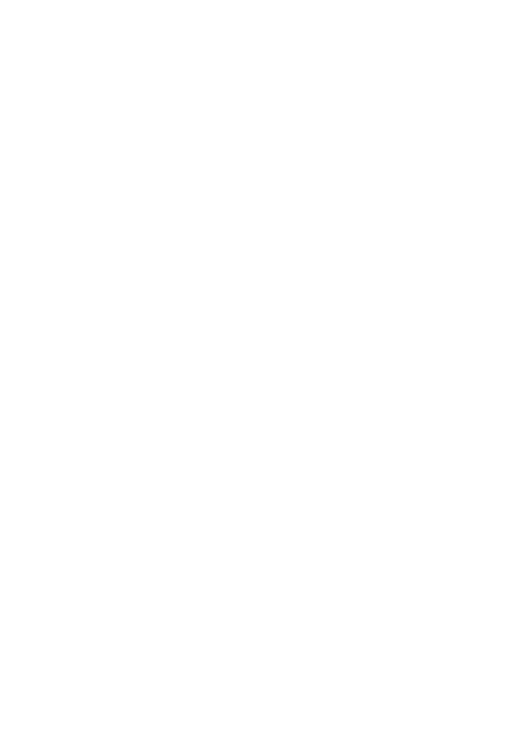| ---- |  |
|------|--|
|      |  |
|      |  |
|      |  |
|      |  |
|      |  |
|      |  |
|      |  |
|      |  |
|      |  |
|      |  |
|      |  |
|      |  |
|      |  |
|      |  |
|      |  |
|      |  |
|      |  |
|      |  |
|      |  |
|      |  |
|      |  |
|      |  |
|      |  |
|      |  |
|      |  |
|      |  |
|      |  |
|      |  |
|      |  |
|      |  |
|      |  |
|      |  |
|      |  |
|      |  |
|      |  |
|      |  |
|      |  |
|      |  |
|      |  |
|      |  |
|      |  |
|      |  |
|      |  |
|      |  |
|      |  |
|      |  |
|      |  |
|      |  |
|      |  |
|      |  |
|      |  |
|      |  |
|      |  |
|      |  |
|      |  |
|      |  |
|      |  |
|      |  |

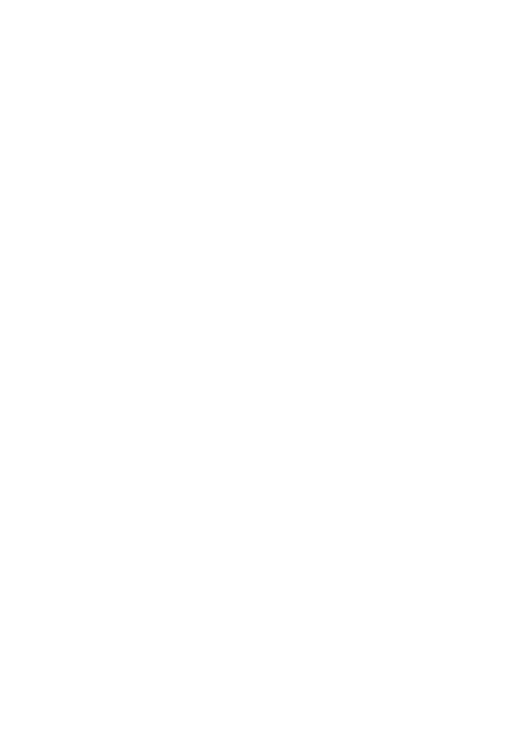| ---- |  |
|------|--|
|      |  |
|      |  |
|      |  |
|      |  |
|      |  |
|      |  |
|      |  |
|      |  |
|      |  |
|      |  |
|      |  |
|      |  |
|      |  |
|      |  |
|      |  |
|      |  |
|      |  |
|      |  |
|      |  |
|      |  |
|      |  |
|      |  |
|      |  |
|      |  |
|      |  |
|      |  |
|      |  |
|      |  |
|      |  |
|      |  |
|      |  |
|      |  |
|      |  |
|      |  |
|      |  |
|      |  |
|      |  |
|      |  |
|      |  |
|      |  |
|      |  |
|      |  |
|      |  |
|      |  |
|      |  |
|      |  |
|      |  |
|      |  |
|      |  |
|      |  |
|      |  |
|      |  |
|      |  |
|      |  |
|      |  |
|      |  |
|      |  |
|      |  |